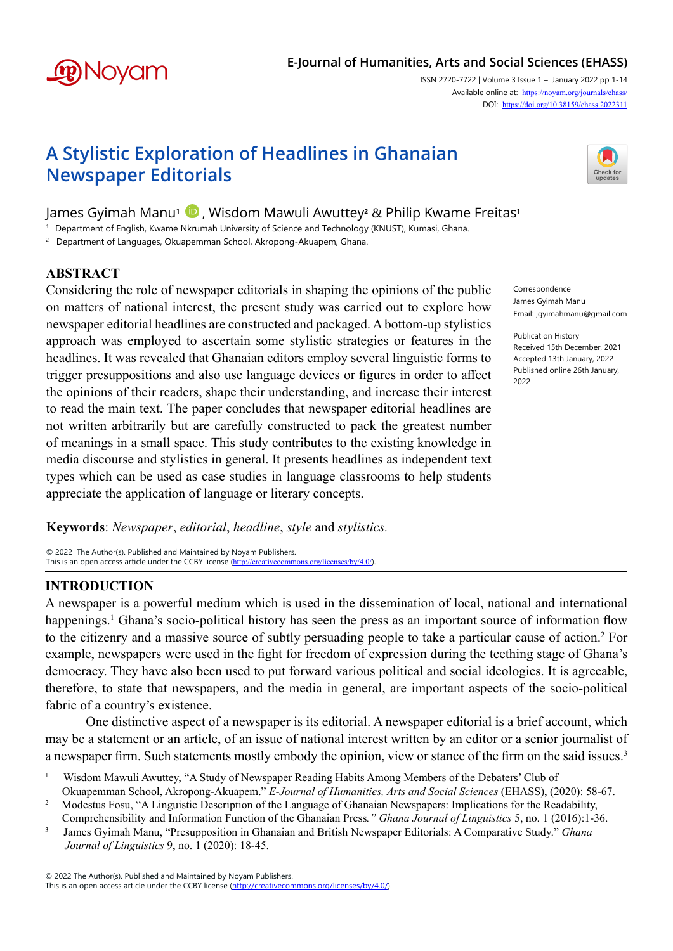

# **E-Journal of Humanities, Arts and Social Sciences (EHASS)**

ISSN 2720-7722 | Volume 3 Issue 1 – January 2022 pp 1-14 Available online at: <https://noyam.org/journals/ehass/> DOI: [https://doi.org/1](https://doi.org/10.38159/ehass.2022311)0.38159/ehass.2022311

# **A Stylistic Exploration of Headlines in Ghanaian Newspaper Editorials**

James Gyimah Manu**1** , Wisdom Mawuli Awuttey**2** & Philip Kwame Freitas**1** 

1 Department of English, Kwame Nkrumah University of Science and Technology (KNUST), Kumasi, Ghana.

2 Department of Languages, Okuapemman School, Akropong-Akuapem, Ghana.

## **ABSTRACT**

Considering the role of newspaper editorials in shaping the opinions of the public on matters of national interest, the present study was carried out to explore how newspaper editorial headlines are constructed and packaged. A bottom-up stylistics approach was employed to ascertain some stylistic strategies or features in the headlines. It was revealed that Ghanaian editors employ several linguistic forms to trigger presuppositions and also use language devices or figures in order to affect the opinions of their readers, shape their understanding, and increase their interest to read the main text. The paper concludes that newspaper editorial headlines are not written arbitrarily but are carefully constructed to pack the greatest number of meanings in a small space. This study contributes to the existing knowledge in media discourse and stylistics in general. It presents headlines as independent text types which can be used as case studies in language classrooms to help students appreciate the application of language or literary concepts.

**Keywords**: *Newspaper*, *editorial*, *headline*, *style* and *stylistics.*

© 2022 The Author(s). Published and Maintained by Noyam Publishers. This is an open access article under the CCBY license (<http://creativecommons.org/licenses/by/4.0/>).

## **INTRODUCTION**

A newspaper is a powerful medium which is used in the dissemination of local, national and international happenings.<sup>1</sup> Ghana's socio-political history has seen the press as an important source of information flow to the citizenry and a massive source of subtly persuading people to take a particular cause of action.<sup>2</sup> For example, newspapers were used in the fight for freedom of expression during the teething stage of Ghana's democracy. They have also been used to put forward various political and social ideologies. It is agreeable, therefore, to state that newspapers, and the media in general, are important aspects of the socio-political fabric of a country's existence.

One distinctive aspect of a newspaper is its editorial. A newspaper editorial is a brief account, which may be a statement or an article, of an issue of national interest written by an editor or a senior journalist of a newspaper firm. Such statements mostly embody the opinion, view or stance of the firm on the said issues.<sup>3</sup>

© 2022 The Author(s). Published and Maintained by Noyam Publishers.

This is an open access article under the CCBY license [\(http://creativecommons.org/licenses/by/4.0/](http://creativecommons.org/licenses/by/4.0/)).



Correspondence James Gyimah Manu Email: jgyimahmanu@gmail.com

Publication History Received 15th December, 2021 Accepted 13th January, 2022 Published online 26th January, 2022

<sup>&</sup>lt;sup>1</sup> Wisdom Mawuli Awuttey, "A Study of Newspaper Reading Habits Among Members of the Debaters' Club of Okuapemman School, Akropong-Akuapem." *E-Journal of Humanities, Arts and Social Sciences* (EHASS), (2020): 58-67.

<sup>&</sup>lt;sup>2</sup> Modestus Fosu, "A Linguistic Description of the Language of Ghanaian Newspapers: Implications for the Readability,

Comprehensibility and Information Function of the Ghanaian Press*." Ghana Journal of Linguistics* 5, no. 1 (2016):1-36. <sup>3</sup>   James Gyimah Manu, "Presupposition in Ghanaian and British Newspaper Editorials: A Comparative Study." *Ghana Journal of Linguistics* 9, no. 1 (2020): 18-45.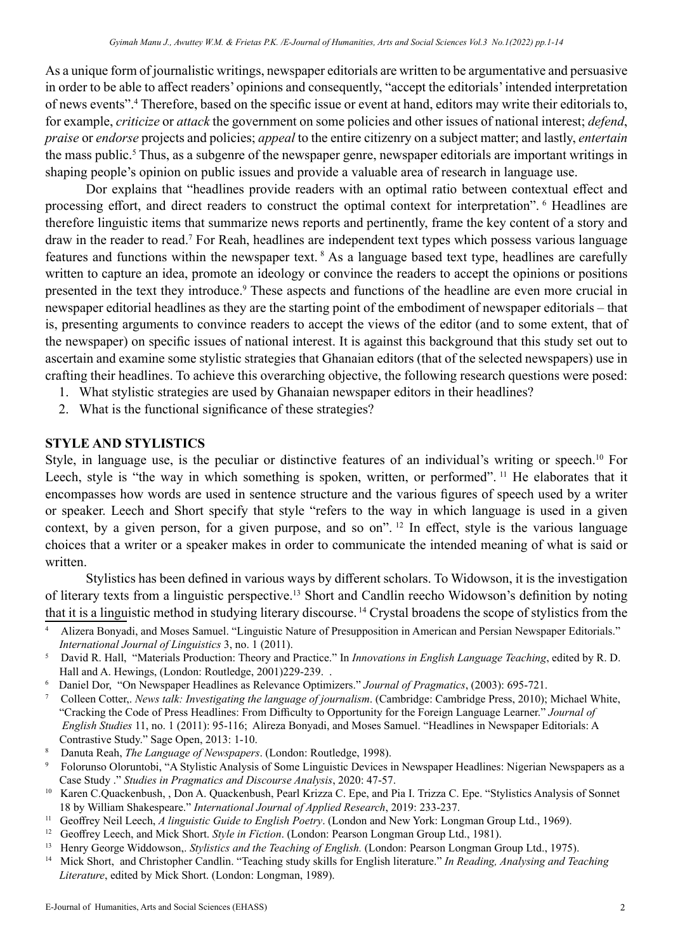As a unique form of journalistic writings, newspaper editorials are written to be argumentative and persuasive in order to be able to affect readers' opinions and consequently, "accept the editorials' intended interpretation of news events".4 Therefore, based on the specific issue or event at hand, editors may write their editorials to, for example, *criticize* or *attack* the government on some policies and other issues of national interest; *defend*, *praise* or *endorse* projects and policies; *appeal* to the entire citizenry on a subject matter; and lastly, *entertain* the mass public.<sup>5</sup> Thus, as a subgenre of the newspaper genre, newspaper editorials are important writings in shaping people's opinion on public issues and provide a valuable area of research in language use.

Dor explains that "headlines provide readers with an optimal ratio between contextual effect and processing effort, and direct readers to construct the optimal context for interpretation". <sup>6</sup> Headlines are therefore linguistic items that summarize news reports and pertinently, frame the key content of a story and draw in the reader to read.<sup>7</sup> For Reah, headlines are independent text types which possess various language features and functions within the newspaper text. <sup>8</sup> As a language based text type, headlines are carefully written to capture an idea, promote an ideology or convince the readers to accept the opinions or positions presented in the text they introduce.<sup>9</sup> These aspects and functions of the headline are even more crucial in newspaper editorial headlines as they are the starting point of the embodiment of newspaper editorials – that is, presenting arguments to convince readers to accept the views of the editor (and to some extent, that of the newspaper) on specific issues of national interest. It is against this background that this study set out to ascertain and examine some stylistic strategies that Ghanaian editors (that of the selected newspapers) use in crafting their headlines. To achieve this overarching objective, the following research questions were posed:

- 1. What stylistic strategies are used by Ghanaian newspaper editors in their headlines?
- 2. What is the functional significance of these strategies?

#### **STYLE AND STYLISTICS**

Style, in language use, is the peculiar or distinctive features of an individual's writing or speech.<sup>10</sup> For Leech, style is "the way in which something is spoken, written, or performed". <sup>11</sup> He elaborates that it encompasses how words are used in sentence structure and the various figures of speech used by a writer or speaker. Leech and Short specify that style "refers to the way in which language is used in a given context, by a given person, for a given purpose, and so on". <sup>12</sup> In effect, style is the various language choices that a writer or a speaker makes in order to communicate the intended meaning of what is said or written.

Stylistics has been defined in various ways by different scholars. To Widowson, it is the investigation of literary texts from a linguistic perspective.13 Short and Candlin reecho Widowson's definition by noting that it is a linguistic method in studying literary discourse. <sup>14</sup> Crystal broadens the scope of stylistics from the

- 6 Daniel Dor, "On Newspaper Headlines as Relevance Optimizers." *Journal of Pragmatics*, (2003): 695-721.
- <sup>7</sup> Colleen Cotter,. *News talk: Investigating the language of journalism*. (Cambridge: Cambridge Press, 2010); Michael White, "Cracking the Code of Press Headlines: From Difficulty to Opportunity for the Foreign Language Learner." *Journal of English Studies* 11, no. 1 (2011): 95-116; Alireza Bonyadi, and Moses Samuel. "Headlines in Newspaper Editorials: A Contrastive Study." Sage Open, 2013: 1-10.
- <sup>8</sup> Danuta Reah, *The Language of Newspapers*. (London: Routledge, 1998).
- <sup>9</sup> Folorunso Oloruntobi, "A Stylistic Analysis of Some Linguistic Devices in Newspaper Headlines: Nigerian Newspapers as a Case Study ." *Studies in Pragmatics and Discourse Analysis*, 2020: 47-57.
- <sup>10</sup> Karen C.Quackenbush, , Don A. Quackenbush, Pearl Krizza C. Epe, and Pia I. Trizza C. Epe. "Stylistics Analysis of Sonnet 18 by William Shakespeare." *International Journal of Applied Research*, 2019: 233-237.
- <sup>11</sup> Geoffrey Neil Leech, *A linguistic Guide to English Poetry*. (London and New York: Longman Group Ltd., 1969).
- <sup>12</sup> Geoffrey Leech, and Mick Short. *Style in Fiction*. (London: Pearson Longman Group Ltd., 1981).
- <sup>13</sup> Henry George Widdowson,. *Stylistics and the Teaching of English*. (London: Pearson Longman Group Ltd., 1975).
- 14 Mick Short, and Christopher Candlin. "Teaching study skills for English literature." *In Reading, Analysing and Teaching Literature*, edited by Mick Short. (London: Longman, 1989).

<sup>4</sup> Alizera Bonyadi, and Moses Samuel. "Linguistic Nature of Presupposition in American and Persian Newspaper Editorials." *International Journal of Linguistics* 3, no. 1 (2011).

<sup>5</sup> David R. Hall, "Materials Production: Theory and Practice." In *Innovations in English Language Teaching*, edited by R. D. Hall and A. Hewings, (London: Routledge, 2001)229-239. .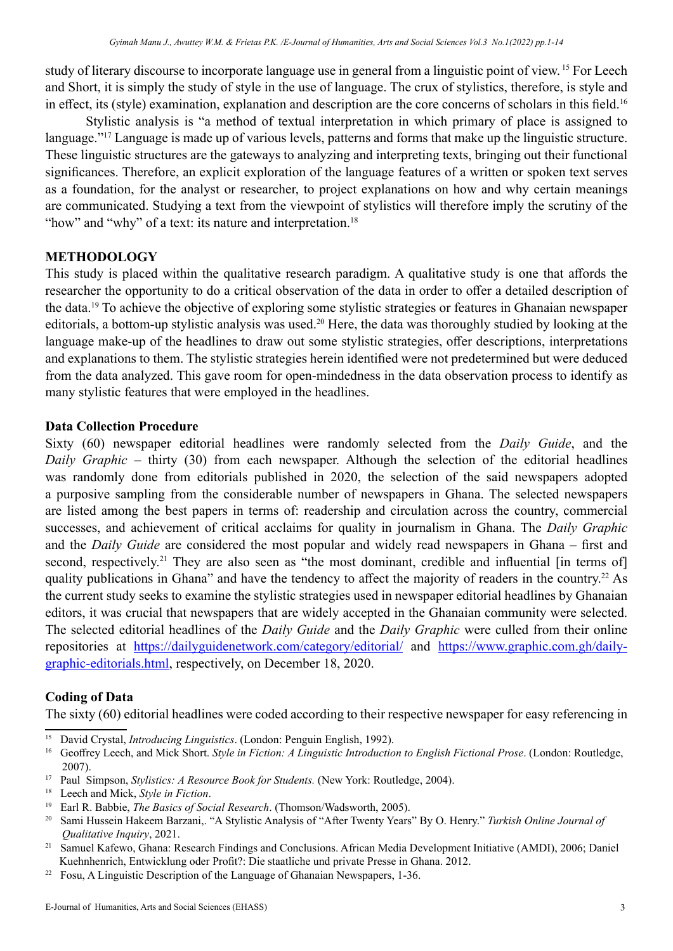study of literary discourse to incorporate language use in general from a linguistic point of view. 15 For Leech and Short, it is simply the study of style in the use of language. The crux of stylistics, therefore, is style and in effect, its (style) examination, explanation and description are the core concerns of scholars in this field.<sup>16</sup>

Stylistic analysis is "a method of textual interpretation in which primary of place is assigned to language."17 Language is made up of various levels, patterns and forms that make up the linguistic structure. These linguistic structures are the gateways to analyzing and interpreting texts, bringing out their functional significances. Therefore, an explicit exploration of the language features of a written or spoken text serves as a foundation, for the analyst or researcher, to project explanations on how and why certain meanings are communicated. Studying a text from the viewpoint of stylistics will therefore imply the scrutiny of the "how" and "why" of a text: its nature and interpretation.<sup>18</sup>

## **METHODOLOGY**

This study is placed within the qualitative research paradigm. A qualitative study is one that affords the researcher the opportunity to do a critical observation of the data in order to offer a detailed description of the data.19 To achieve the objective of exploring some stylistic strategies or features in Ghanaian newspaper editorials, a bottom-up stylistic analysis was used.<sup>20</sup> Here, the data was thoroughly studied by looking at the language make-up of the headlines to draw out some stylistic strategies, offer descriptions, interpretations and explanations to them. The stylistic strategies herein identified were not predetermined but were deduced from the data analyzed. This gave room for open-mindedness in the data observation process to identify as many stylistic features that were employed in the headlines.

#### **Data Collection Procedure**

Sixty (60) newspaper editorial headlines were randomly selected from the *Daily Guide*, and the *Daily Graphic* – thirty (30) from each newspaper. Although the selection of the editorial headlines was randomly done from editorials published in 2020, the selection of the said newspapers adopted a purposive sampling from the considerable number of newspapers in Ghana. The selected newspapers are listed among the best papers in terms of: readership and circulation across the country, commercial successes, and achievement of critical acclaims for quality in journalism in Ghana. The *Daily Graphic* and the *Daily Guide* are considered the most popular and widely read newspapers in Ghana – first and second, respectively.<sup>21</sup> They are also seen as "the most dominant, credible and influential [in terms of] quality publications in Ghana" and have the tendency to affect the majority of readers in the country.<sup>22</sup> As the current study seeks to examine the stylistic strategies used in newspaper editorial headlines by Ghanaian editors, it was crucial that newspapers that are widely accepted in the Ghanaian community were selected. The selected editorial headlines of the *Daily Guide* and the *Daily Graphic* were culled from their online repositories at <https://dailyguidenetwork.com/category/editorial/>and [https://www.graphic.com.gh/daily](https://www.graphic.com.gh/daily-graphic-editorials.html)[graphic-editorials.html](https://www.graphic.com.gh/daily-graphic-editorials.html), respectively, on December 18, 2020.

## **Coding of Data**

The sixty (60) editorial headlines were coded according to their respective newspaper for easy referencing in

<sup>15</sup> David Crystal, *Introducing Linguistics*. (London: Penguin English, 1992).

<sup>16</sup> Geoffrey Leech, and Mick Short. *Style in Fiction: A Linguistic Introduction to English Fictional Prose*. (London: Routledge, 2007).

<sup>17</sup> Paul Simpson, *Stylistics: A Resource Book for Students.* (New York: Routledge, 2004).

<sup>18</sup> Leech and Mick, *Style in Fiction*.

<sup>19</sup> Earl R. Babbie, *The Basics of Social Research*. (Thomson/Wadsworth, 2005).

<sup>20</sup> Sami Hussein Hakeem Barzani,. "A Stylistic Analysis of "After Twenty Years" By O. Henry." *Turkish Online Journal of Qualitative Inquiry*, 2021. 21 Samuel Kafewo, Ghana: Research Findings and Conclusions. African Media Development Initiative (AMDI), 2006; Daniel

Kuehnhenrich, Entwicklung oder Profit?: Die staatliche und private Presse in Ghana. 2012.

<sup>&</sup>lt;sup>22</sup> Fosu, A Linguistic Description of the Language of Ghanaian Newspapers, 1-36.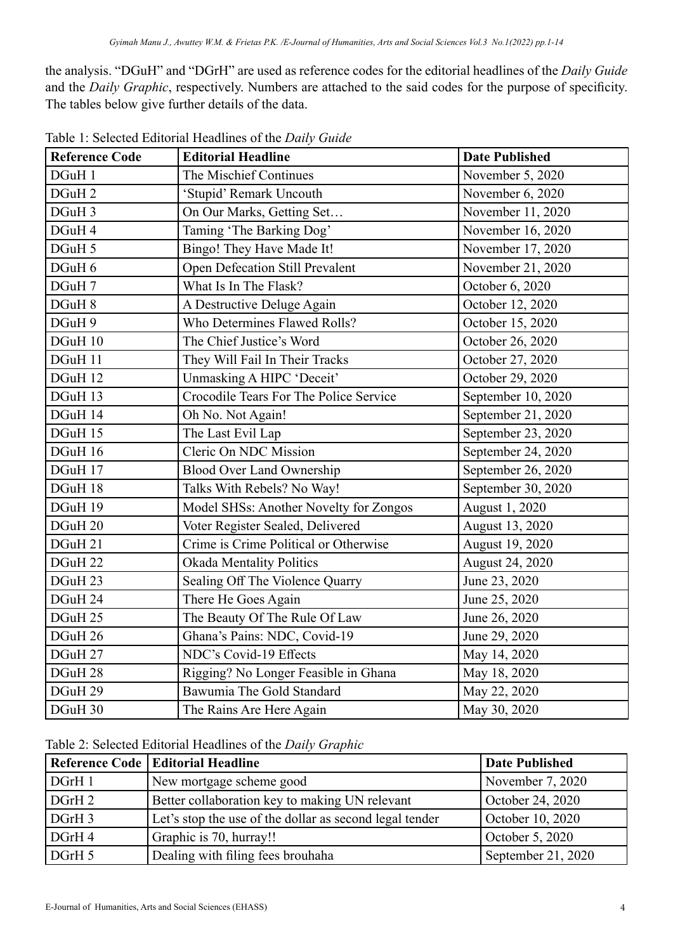the analysis. "DGuH" and "DGrH" are used as reference codes for the editorial headlines of the *Daily Guide* and the *Daily Graphic*, respectively. Numbers are attached to the said codes for the purpose of specificity. The tables below give further details of the data.

| <b>Reference Code</b> | <b>Editorial Headline</b>              | <b>Date Published</b> |
|-----------------------|----------------------------------------|-----------------------|
| DGuH 1                | The Mischief Continues                 | November 5, 2020      |
| DGuH <sub>2</sub>     | 'Stupid' Remark Uncouth                | November 6, 2020      |
| DGuH 3                | On Our Marks, Getting Set              | November 11, 2020     |
| DGuH 4                | Taming 'The Barking Dog'               | November 16, 2020     |
| DGuH 5                | Bingo! They Have Made It!              | November 17, 2020     |
| DGuH 6                | Open Defecation Still Prevalent        | November 21, 2020     |
| DGuH 7                | What Is In The Flask?                  | October 6, 2020       |
| DGuH 8                | A Destructive Deluge Again             | October 12, 2020      |
| DGuH 9                | Who Determines Flawed Rolls?           | October 15, 2020      |
| DGuH 10               | The Chief Justice's Word               | October 26, 2020      |
| DGuH 11               | They Will Fail In Their Tracks         | October 27, 2020      |
| DGuH 12               | Unmasking A HIPC 'Deceit'              | October 29, 2020      |
| DGuH 13               | Crocodile Tears For The Police Service | September 10, 2020    |
| DGuH 14               | Oh No. Not Again!                      | September 21, 2020    |
| DGuH 15               | The Last Evil Lap                      | September 23, 2020    |
| DGuH 16               | Cleric On NDC Mission                  | September 24, 2020    |
| DGuH 17               | <b>Blood Over Land Ownership</b>       | September 26, 2020    |
| DGuH 18               | Talks With Rebels? No Way!             | September 30, 2020    |
| DGuH 19               | Model SHSs: Another Novelty for Zongos | August 1, 2020        |
| DGuH 20               | Voter Register Sealed, Delivered       | August 13, 2020       |
| DGuH 21               | Crime is Crime Political or Otherwise  | August 19, 2020       |
| DGuH 22               | <b>Okada Mentality Politics</b>        | August 24, 2020       |
| DGuH 23               | Sealing Off The Violence Quarry        | June 23, 2020         |
| DGuH 24               | There He Goes Again                    | June 25, 2020         |
| DGuH 25               | The Beauty Of The Rule Of Law          | June 26, 2020         |
| DGuH 26               | Ghana's Pains: NDC, Covid-19           | June 29, 2020         |
| DGuH 27               | NDC's Covid-19 Effects                 | May 14, 2020          |
| DGuH 28               | Rigging? No Longer Feasible in Ghana   | May 18, 2020          |
| DGuH 29               | Bawumia The Gold Standard              | May 22, 2020          |
| DGuH 30               | The Rains Are Here Again               | May 30, 2020          |

Table 1: Selected Editorial Headlines of the *Daily Guide*

Table 2: Selected Editorial Headlines of the *Daily Graphic*

|        | Reference Code   Editorial Headline                     | <b>Date Published</b> |
|--------|---------------------------------------------------------|-----------------------|
| DGrH1  | New mortgage scheme good                                | November 7, 2020      |
| DGrH 2 | Better collaboration key to making UN relevant          | October 24, 2020      |
| DGrH 3 | Let's stop the use of the dollar as second legal tender | October 10, 2020      |
| DGrH4  | Graphic is 70, hurray!!                                 | October 5, 2020       |
| DGrH 5 | Dealing with filing fees brouhaha                       | September 21, 2020    |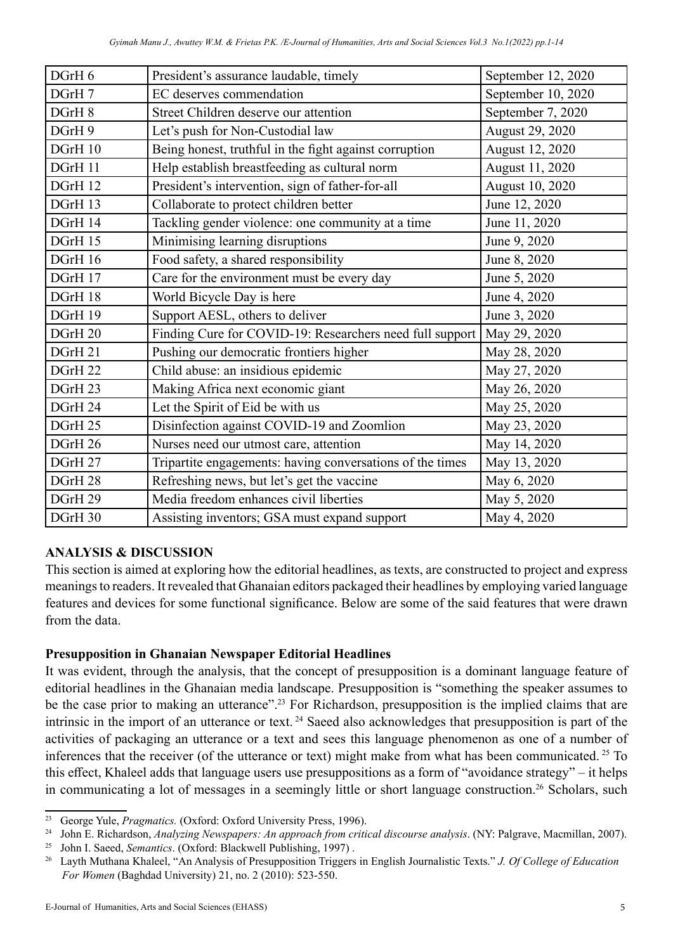| DGrH 6  | President's assurance laudable, timely                    | September 12, 2020 |
|---------|-----------------------------------------------------------|--------------------|
| DGrH 7  | EC deserves commendation                                  | September 10, 2020 |
| DGrH 8  | Street Children deserve our attention                     | September 7, 2020  |
| DGrH 9  | Let's push for Non-Custodial law                          | August 29, 2020    |
| DGrH 10 | Being honest, truthful in the fight against corruption    | August 12, 2020    |
| DGrH 11 | Help establish breastfeeding as cultural norm             | August 11, 2020    |
| DGrH 12 | President's intervention, sign of father-for-all          | August 10, 2020    |
| DGrH 13 | Collaborate to protect children better                    | June 12, 2020      |
| DGrH 14 | Tackling gender violence: one community at a time         | June 11, 2020      |
| DGrH 15 | Minimising learning disruptions                           | June 9, 2020       |
| DGrH 16 | Food safety, a shared responsibility                      | June 8, 2020       |
| DGrH 17 | Care for the environment must be every day                | June 5, 2020       |
| DGrH 18 | World Bicycle Day is here                                 | June 4, 2020       |
| DGrH 19 | Support AESL, others to deliver                           | June 3, 2020       |
| DGrH 20 | Finding Cure for COVID-19: Researchers need full support  | May 29, 2020       |
| DGrH 21 | Pushing our democratic frontiers higher                   | May 28, 2020       |
| DGrH 22 | Child abuse: an insidious epidemic                        | May 27, 2020       |
| DGrH 23 | Making Africa next economic giant                         | May 26, 2020       |
| DGrH 24 | Let the Spirit of Eid be with us                          | May 25, 2020       |
| DGrH 25 | Disinfection against COVID-19 and Zoomlion                | May 23, 2020       |
| DGrH 26 | Nurses need our utmost care, attention                    | May 14, 2020       |
| DGrH 27 | Tripartite engagements: having conversations of the times | May 13, 2020       |
| DGrH 28 | Refreshing news, but let's get the vaccine                | May 6, 2020        |
| DGrH 29 | Media freedom enhances civil liberties                    | May 5, 2020        |
| DGrH 30 | Assisting inventors; GSA must expand support              | May 4, 2020        |

# **ANALYSIS & DISCUSSION**

This section is aimed at exploring how the editorial headlines, as texts, are constructed to project and express meanings to readers. It revealed that Ghanaian editors packaged their headlines by employing varied language features and devices for some functional significance. Below are some of the said features that were drawn from the data.

# **Presupposition in Ghanaian Newspaper Editorial Headlines**

It was evident, through the analysis, that the concept of presupposition is a dominant language feature of editorial headlines in the Ghanaian media landscape. Presupposition is "something the speaker assumes to be the case prior to making an utterance".<sup>23</sup> For Richardson, presupposition is the implied claims that are intrinsic in the import of an utterance or text. 24 Saeed also acknowledges that presupposition is part of the activities of packaging an utterance or a text and sees this language phenomenon as one of a number of inferences that the receiver (of the utterance or text) might make from what has been communicated. 25 To this effect, Khaleel adds that language users use presuppositions as a form of "avoidance strategy" – it helps in communicating a lot of messages in a seemingly little or short language construction.<sup>26</sup> Scholars, such

<sup>&</sup>lt;sup>23</sup> George Yule, *Pragmatics.* (Oxford: Oxford University Press, 1996).

<sup>&</sup>lt;sup>24</sup> John E. Richardson, Analyzing Newspapers: An approach from critical discourse analysis. (NY: Palgrave, Macmillan, 2007).

<sup>25</sup> John I. Saeed, *Semantics*. (Oxford: Blackwell Publishing, 1997) .

<sup>26</sup> Layth Muthana Khaleel, "An Analysis of Presupposition Triggers in English Journalistic Texts." *J. Of College of Education For Women* (Baghdad University) 21, no. 2 (2010): 523-550.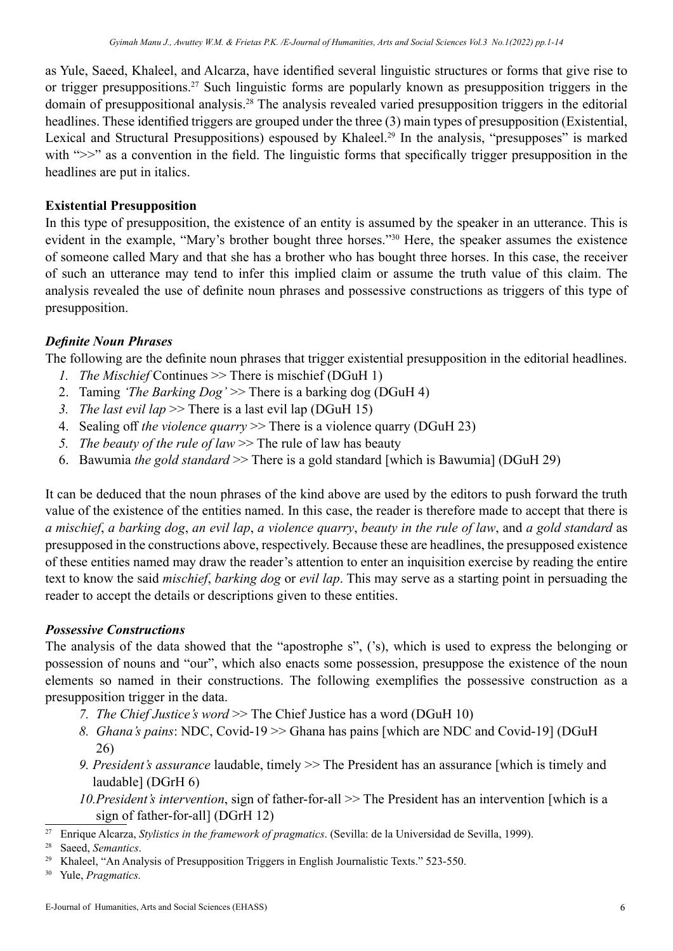as Yule, Saeed, Khaleel, and Alcarza, have identified several linguistic structures or forms that give rise to or trigger presuppositions.27 Such linguistic forms are popularly known as presupposition triggers in the domain of presuppositional analysis.28 The analysis revealed varied presupposition triggers in the editorial headlines. These identified triggers are grouped under the three (3) main types of presupposition (Existential, Lexical and Structural Presuppositions) espoused by Khaleel.<sup>29</sup> In the analysis, "presupposes" is marked with " $\gg$ " as a convention in the field. The linguistic forms that specifically trigger presupposition in the headlines are put in italics.

# **Existential Presupposition**

In this type of presupposition, the existence of an entity is assumed by the speaker in an utterance. This is evident in the example, "Mary's brother bought three horses."<sup>30</sup> Here, the speaker assumes the existence of someone called Mary and that she has a brother who has bought three horses. In this case, the receiver of such an utterance may tend to infer this implied claim or assume the truth value of this claim. The analysis revealed the use of definite noun phrases and possessive constructions as triggers of this type of presupposition.

# *Definite Noun Phrases*

The following are the definite noun phrases that trigger existential presupposition in the editorial headlines.

- *1. The Mischief* Continues >> There is mischief (DGuH 1)
- 2. Taming *'The Barking Dog'* >> There is a barking dog (DGuH 4)
- *3. The last evil lap* >> There is a last evil lap (DGuH 15)
- 4. Sealing off *the violence quarry* >> There is a violence quarry (DGuH 23)
- *5. The beauty of the rule of law* >> The rule of law has beauty
- 6. Bawumia *the gold standard* >> There is a gold standard [which is Bawumia] (DGuH 29)

It can be deduced that the noun phrases of the kind above are used by the editors to push forward the truth value of the existence of the entities named. In this case, the reader is therefore made to accept that there is *a mischief*, *a barking dog*, *an evil lap*, *a violence quarry*, *beauty in the rule of law*, and *a gold standard* as presupposed in the constructions above, respectively. Because these are headlines, the presupposed existence of these entities named may draw the reader's attention to enter an inquisition exercise by reading the entire text to know the said *mischief*, *barking dog* or *evil lap*. This may serve as a starting point in persuading the reader to accept the details or descriptions given to these entities.

# *Possessive Constructions*

The analysis of the data showed that the "apostrophe s", ('s), which is used to express the belonging or possession of nouns and "our", which also enacts some possession, presuppose the existence of the noun elements so named in their constructions. The following exemplifies the possessive construction as a presupposition trigger in the data.

- *7. The Chief Justice's word* >> The Chief Justice has a word (DGuH 10)
- *8. Ghana's pains*: NDC, Covid-19 >> Ghana has pains [which are NDC and Covid-19] (DGuH 26)
- *9. President's assurance* laudable, timely >> The President has an assurance [which is timely and laudable] (DGrH 6)
- *10.President's intervention*, sign of father-for-all >> The President has an intervention [which is a sign of father-for-all] (DGrH 12)
- <sup>27</sup> Enrique Alcarza, *Stylistics in the framework of pragmatics*. (Sevilla: de la Universidad de Sevilla, 1999).

<sup>28</sup> Saeed, *Semantics*.<br><sup>29</sup> Khaleel, "An Analysis of Presupposition Triggers in English Journalistic Texts." 523-550.

<sup>30</sup> Yule, *Pragmatics.*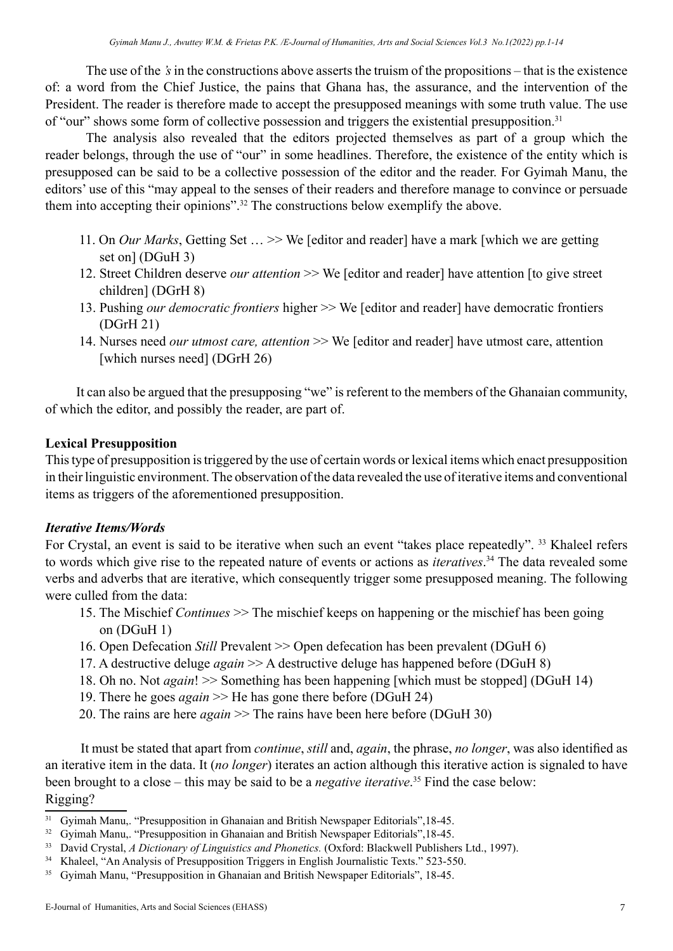The use of the *'s* in the constructions above asserts the truism of the propositions – that is the existence of: a word from the Chief Justice, the pains that Ghana has, the assurance, and the intervention of the President. The reader is therefore made to accept the presupposed meanings with some truth value. The use of "our" shows some form of collective possession and triggers the existential presupposition.<sup>31</sup>

The analysis also revealed that the editors projected themselves as part of a group which the reader belongs, through the use of "our" in some headlines. Therefore, the existence of the entity which is presupposed can be said to be a collective possession of the editor and the reader. For Gyimah Manu, the editors' use of this "may appeal to the senses of their readers and therefore manage to convince or persuade them into accepting their opinions".32 The constructions below exemplify the above.

- 11. On *Our Marks*, Getting Set … >> We [editor and reader] have a mark [which we are getting set on] (DGuH 3)
- 12. Street Children deserve *our attention* >> We [editor and reader] have attention [to give street children] (DGrH 8)
- 13. Pushing *our democratic frontiers* higher >> We [editor and reader] have democratic frontiers (DGrH 21)
- 14. Nurses need *our utmost care, attention* >> We [editor and reader] have utmost care, attention [which nurses need] (DGrH 26)

 It can also be argued that the presupposing "we" is referent to the members of the Ghanaian community, of which the editor, and possibly the reader, are part of.

## **Lexical Presupposition**

This type of presupposition is triggered by the use of certain words or lexical items which enact presupposition in their linguistic environment. The observation of the data revealed the use of iterative items and conventional items as triggers of the aforementioned presupposition.

#### *Iterative Items/Words*

For Crystal, an event is said to be iterative when such an event "takes place repeatedly". <sup>33</sup> Khaleel refers to words which give rise to the repeated nature of events or actions as *iteratives*. <sup>34</sup> The data revealed some verbs and adverbs that are iterative, which consequently trigger some presupposed meaning. The following were culled from the data:

- 15. The Mischief *Continues* >> The mischief keeps on happening or the mischief has been going on (DGuH 1)
- 16. Open Defecation *Still* Prevalent >> Open defecation has been prevalent (DGuH 6)
- 17. A destructive deluge *again* >> A destructive deluge has happened before (DGuH 8)
- 18. Oh no. Not *again*! >> Something has been happening [which must be stopped] (DGuH 14)
- 19. There he goes *again* >> He has gone there before (DGuH 24)
- 20. The rains are here *again* >> The rains have been here before (DGuH 30)

 It must be stated that apart from *continue*, *still* and, *again*, the phrase, *no longer*, was also identified as an iterative item in the data. It (*no longer*) iterates an action although this iterative action is signaled to have been brought to a close – this may be said to be a *negative iterative*. 35 Find the case below: Rigging?

<sup>&</sup>lt;sup>31</sup> Gyimah Manu,. "Presupposition in Ghanaian and British Newspaper Editorials", 18-45.

<sup>&</sup>lt;sup>32</sup> Gyimah Manu,. "Presupposition in Ghanaian and British Newspaper Editorials", 18-45.

<sup>33</sup> David Crystal, *A Dictionary of Linguistics and Phonetics.* (Oxford: Blackwell Publishers Ltd., 1997).

<sup>&</sup>lt;sup>34</sup> Khaleel, "An Analysis of Presupposition Triggers in English Journalistic Texts." 523-550.

<sup>&</sup>lt;sup>35</sup> Gyimah Manu, "Presupposition in Ghanaian and British Newspaper Editorials", 18-45.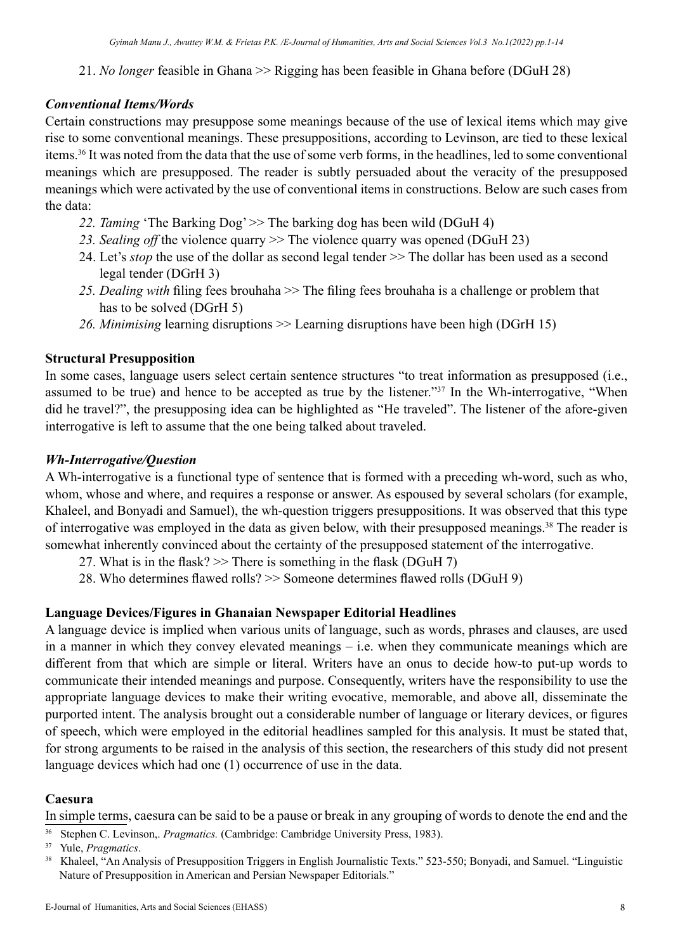21. *No longer* feasible in Ghana >> Rigging has been feasible in Ghana before (DGuH 28)

## *Conventional Items/Words*

Certain constructions may presuppose some meanings because of the use of lexical items which may give rise to some conventional meanings. These presuppositions, according to Levinson, are tied to these lexical items.<sup>36</sup> It was noted from the data that the use of some verb forms, in the headlines, led to some conventional meanings which are presupposed. The reader is subtly persuaded about the veracity of the presupposed meanings which were activated by the use of conventional items in constructions. Below are such cases from the data:

- 22. *Taming* 'The Barking Dog' >> The barking dog has been wild (DGuH 4)
- *23. Sealing off* the violence quarry >> The violence quarry was opened (DGuH 23)
- 24. Let's *stop* the use of the dollar as second legal tender  $\gg$  The dollar has been used as a second legal tender (DGrH 3)
- *25. Dealing with* filing fees brouhaha >> The filing fees brouhaha is a challenge or problem that has to be solved (DGrH 5)
- *26. Minimising* learning disruptions >> Learning disruptions have been high (DGrH 15)

## **Structural Presupposition**

In some cases, language users select certain sentence structures "to treat information as presupposed (i.e., assumed to be true) and hence to be accepted as true by the listener."37 In the Wh-interrogative, "When did he travel?", the presupposing idea can be highlighted as "He traveled". The listener of the afore-given interrogative is left to assume that the one being talked about traveled.

#### *Wh-Interrogative/Question*

A Wh-interrogative is a functional type of sentence that is formed with a preceding wh-word, such as who, whom, whose and where, and requires a response or answer. As espoused by several scholars (for example, Khaleel, and Bonyadi and Samuel), the wh-question triggers presuppositions. It was observed that this type of interrogative was employed in the data as given below, with their presupposed meanings.38 The reader is somewhat inherently convinced about the certainty of the presupposed statement of the interrogative.

- 27. What is in the flask?  $\gg$  There is something in the flask (DGuH 7)
- 28. Who determines flawed rolls? >> Someone determines flawed rolls (DGuH 9)

## **Language Devices/Figures in Ghanaian Newspaper Editorial Headlines**

A language device is implied when various units of language, such as words, phrases and clauses, are used in a manner in which they convey elevated meanings – i.e. when they communicate meanings which are different from that which are simple or literal. Writers have an onus to decide how-to put-up words to communicate their intended meanings and purpose. Consequently, writers have the responsibility to use the appropriate language devices to make their writing evocative, memorable, and above all, disseminate the purported intent. The analysis brought out a considerable number of language or literary devices, or figures of speech, which were employed in the editorial headlines sampled for this analysis. It must be stated that, for strong arguments to be raised in the analysis of this section, the researchers of this study did not present language devices which had one (1) occurrence of use in the data.

## **Caesura**

In simple terms, caesura can be said to be a pause or break in any grouping of words to denote the end and the

<sup>36</sup> Stephen C. Levinson,. *Pragmatics*. (Cambridge: Cambridge University Press, 1983).<br><sup>37</sup> Yule, *Pragmatics*.

<sup>&</sup>lt;sup>38</sup> Khaleel, "An Analysis of Presupposition Triggers in English Journalistic Texts." 523-550; Bonyadi, and Samuel. "Linguistic Nature of Presupposition in American and Persian Newspaper Editorials."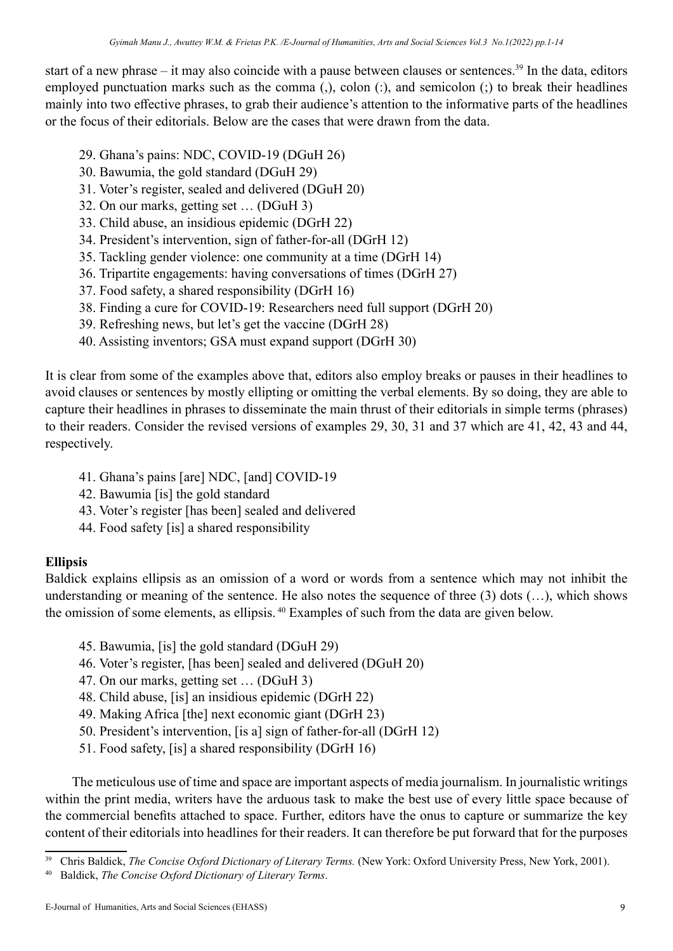start of a new phrase – it may also coincide with a pause between clauses or sentences.<sup>39</sup> In the data, editors employed punctuation marks such as the comma (,), colon (:), and semicolon (;) to break their headlines mainly into two effective phrases, to grab their audience's attention to the informative parts of the headlines or the focus of their editorials. Below are the cases that were drawn from the data.

- 29. Ghana's pains: NDC, COVID-19 (DGuH 26)
- 30. Bawumia, the gold standard (DGuH 29)
- 31. Voter's register, sealed and delivered (DGuH 20)
- 32. On our marks, getting set … (DGuH 3)
- 33. Child abuse, an insidious epidemic (DGrH 22)
- 34. President's intervention, sign of father-for-all (DGrH 12)
- 35. Tackling gender violence: one community at a time (DGrH 14)
- 36. Tripartite engagements: having conversations of times (DGrH 27)
- 37. Food safety, a shared responsibility (DGrH 16)
- 38. Finding a cure for COVID-19: Researchers need full support (DGrH 20)
- 39. Refreshing news, but let's get the vaccine (DGrH 28)
- 40. Assisting inventors; GSA must expand support (DGrH 30)

It is clear from some of the examples above that, editors also employ breaks or pauses in their headlines to avoid clauses or sentences by mostly ellipting or omitting the verbal elements. By so doing, they are able to capture their headlines in phrases to disseminate the main thrust of their editorials in simple terms (phrases) to their readers. Consider the revised versions of examples 29, 30, 31 and 37 which are 41, 42, 43 and 44, respectively.

- 41. Ghana's pains [are] NDC, [and] COVID-19
- 42. Bawumia [is] the gold standard
- 43. Voter's register [has been] sealed and delivered
- 44. Food safety [is] a shared responsibility

# **Ellipsis**

Baldick explains ellipsis as an omission of a word or words from a sentence which may not inhibit the understanding or meaning of the sentence. He also notes the sequence of three (3) dots (…), which shows the omission of some elements, as ellipsis. <sup>40</sup> Examples of such from the data are given below.

- 45. Bawumia, [is] the gold standard (DGuH 29)
- 46. Voter's register, [has been] sealed and delivered (DGuH 20)
- 47. On our marks, getting set … (DGuH 3)
- 48. Child abuse, [is] an insidious epidemic (DGrH 22)
- 49. Making Africa [the] next economic giant (DGrH 23)
- 50. President's intervention, [is a] sign of father-for-all (DGrH 12)
- 51. Food safety, [is] a shared responsibility (DGrH 16)

 The meticulous use of time and space are important aspects of media journalism. In journalistic writings within the print media, writers have the arduous task to make the best use of every little space because of the commercial benefits attached to space. Further, editors have the onus to capture or summarize the key content of their editorials into headlines for their readers. It can therefore be put forward that for the purposes

<sup>39</sup> Chris Baldick, *The Concise Oxford Dictionary of Literary Terms.* (New York: Oxford University Press, New York, 2001).

<sup>40</sup> Baldick, *The Concise Oxford Dictionary of Literary Terms*.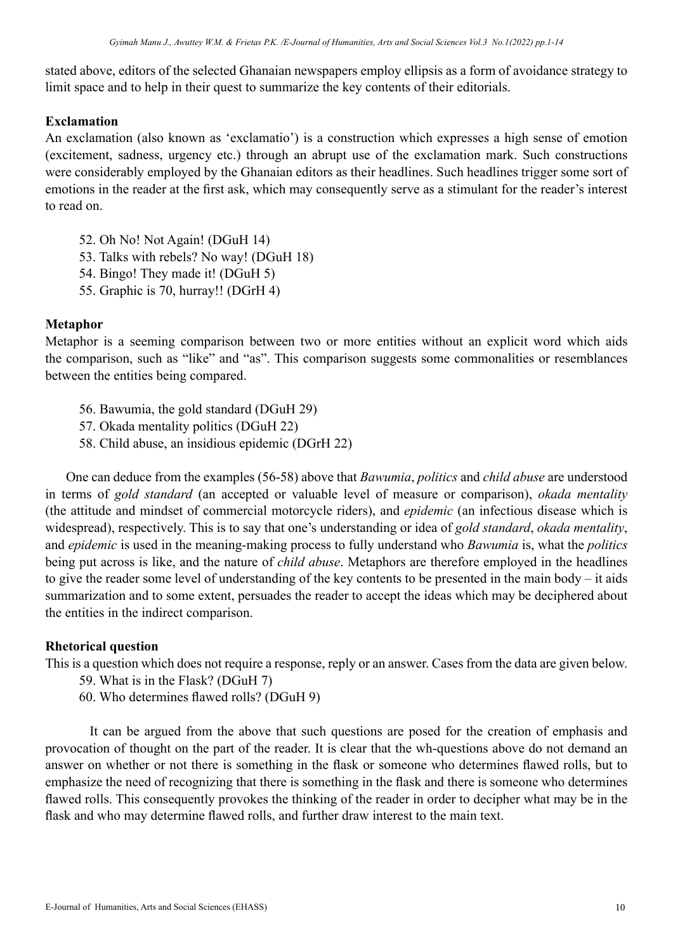stated above, editors of the selected Ghanaian newspapers employ ellipsis as a form of avoidance strategy to limit space and to help in their quest to summarize the key contents of their editorials.

#### **Exclamation**

An exclamation (also known as 'exclamatio') is a construction which expresses a high sense of emotion (excitement, sadness, urgency etc.) through an abrupt use of the exclamation mark. Such constructions were considerably employed by the Ghanaian editors as their headlines. Such headlines trigger some sort of emotions in the reader at the first ask, which may consequently serve as a stimulant for the reader's interest to read on.

- 52. Oh No! Not Again! (DGuH 14)
- 53. Talks with rebels? No way! (DGuH 18)
- 54. Bingo! They made it! (DGuH 5)
- 55. Graphic is 70, hurray!! (DGrH 4)

## **Metaphor**

Metaphor is a seeming comparison between two or more entities without an explicit word which aids the comparison, such as "like" and "as". This comparison suggests some commonalities or resemblances between the entities being compared.

- 56. Bawumia, the gold standard (DGuH 29)
- 57. Okada mentality politics (DGuH 22)
- 58. Child abuse, an insidious epidemic (DGrH 22)

 One can deduce from the examples (56-58) above that *Bawumia*, *politics* and *child abuse* are understood in terms of *gold standard* (an accepted or valuable level of measure or comparison), *okada mentality* (the attitude and mindset of commercial motorcycle riders), and *epidemic* (an infectious disease which is widespread), respectively. This is to say that one's understanding or idea of *gold standard*, *okada mentality*, and *epidemic* is used in the meaning-making process to fully understand who *Bawumia* is, what the *politics* being put across is like, and the nature of *child abuse*. Metaphors are therefore employed in the headlines to give the reader some level of understanding of the key contents to be presented in the main body – it aids summarization and to some extent, persuades the reader to accept the ideas which may be deciphered about the entities in the indirect comparison.

## **Rhetorical question**

This is a question which does not require a response, reply or an answer. Cases from the data are given below.

- 59. What is in the Flask? (DGuH 7)
- 60. Who determines flawed rolls? (DGuH 9)

 It can be argued from the above that such questions are posed for the creation of emphasis and provocation of thought on the part of the reader. It is clear that the wh-questions above do not demand an answer on whether or not there is something in the flask or someone who determines flawed rolls, but to emphasize the need of recognizing that there is something in the flask and there is someone who determines flawed rolls. This consequently provokes the thinking of the reader in order to decipher what may be in the flask and who may determine flawed rolls, and further draw interest to the main text.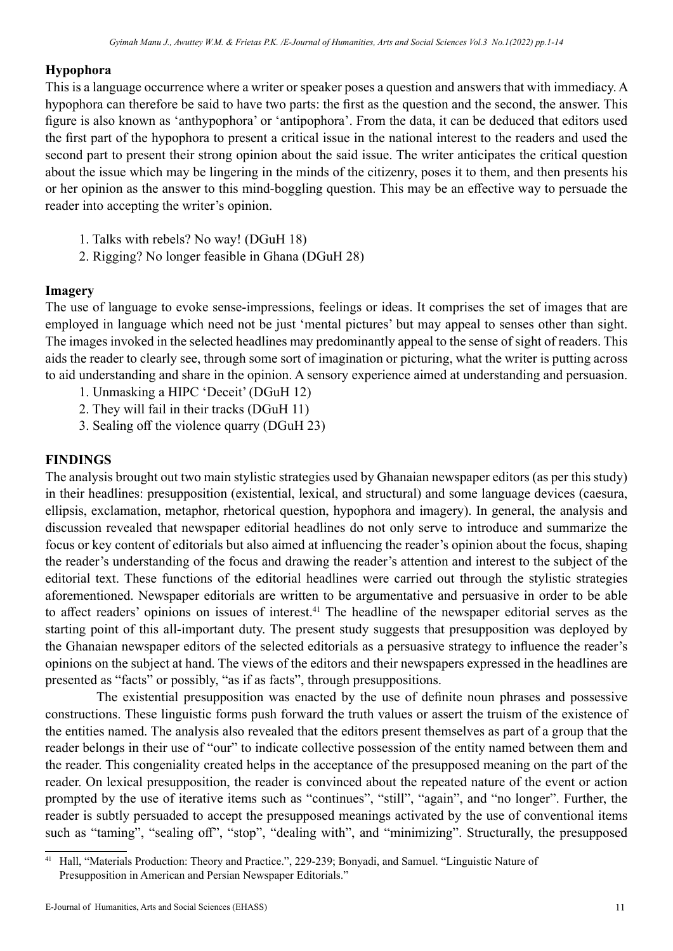#### **Hypophora**

This is a language occurrence where a writer or speaker poses a question and answers that with immediacy. A hypophora can therefore be said to have two parts: the first as the question and the second, the answer. This figure is also known as 'anthypophora' or 'antipophora'. From the data, it can be deduced that editors used the first part of the hypophora to present a critical issue in the national interest to the readers and used the second part to present their strong opinion about the said issue. The writer anticipates the critical question about the issue which may be lingering in the minds of the citizenry, poses it to them, and then presents his or her opinion as the answer to this mind-boggling question. This may be an effective way to persuade the reader into accepting the writer's opinion.

- 1. Talks with rebels? No way! (DGuH 18)
- 2. Rigging? No longer feasible in Ghana (DGuH 28)

#### **Imagery**

The use of language to evoke sense-impressions, feelings or ideas. It comprises the set of images that are employed in language which need not be just 'mental pictures' but may appeal to senses other than sight. The images invoked in the selected headlines may predominantly appeal to the sense of sight of readers. This aids the reader to clearly see, through some sort of imagination or picturing, what the writer is putting across to aid understanding and share in the opinion. A sensory experience aimed at understanding and persuasion.

- 1. Unmasking a HIPC 'Deceit' (DGuH 12)
- 2. They will fail in their tracks (DGuH 11)
- 3. Sealing off the violence quarry (DGuH 23)

#### **FINDINGS**

The analysis brought out two main stylistic strategies used by Ghanaian newspaper editors (as per this study) in their headlines: presupposition (existential, lexical, and structural) and some language devices (caesura, ellipsis, exclamation, metaphor, rhetorical question, hypophora and imagery). In general, the analysis and discussion revealed that newspaper editorial headlines do not only serve to introduce and summarize the focus or key content of editorials but also aimed at influencing the reader's opinion about the focus, shaping the reader's understanding of the focus and drawing the reader's attention and interest to the subject of the editorial text. These functions of the editorial headlines were carried out through the stylistic strategies aforementioned. Newspaper editorials are written to be argumentative and persuasive in order to be able to affect readers' opinions on issues of interest.<sup>41</sup> The headline of the newspaper editorial serves as the starting point of this all-important duty. The present study suggests that presupposition was deployed by the Ghanaian newspaper editors of the selected editorials as a persuasive strategy to influence the reader's opinions on the subject at hand. The views of the editors and their newspapers expressed in the headlines are presented as "facts" or possibly, "as if as facts", through presuppositions.

 The existential presupposition was enacted by the use of definite noun phrases and possessive constructions. These linguistic forms push forward the truth values or assert the truism of the existence of the entities named. The analysis also revealed that the editors present themselves as part of a group that the reader belongs in their use of "our" to indicate collective possession of the entity named between them and the reader. This congeniality created helps in the acceptance of the presupposed meaning on the part of the reader. On lexical presupposition, the reader is convinced about the repeated nature of the event or action prompted by the use of iterative items such as "continues", "still", "again", and "no longer". Further, the reader is subtly persuaded to accept the presupposed meanings activated by the use of conventional items such as "taming", "sealing off", "stop", "dealing with", and "minimizing". Structurally, the presupposed

<sup>41</sup> Hall, "Materials Production: Theory and Practice.", 229-239; Bonyadi, and Samuel. "Linguistic Nature of Presupposition in American and Persian Newspaper Editorials."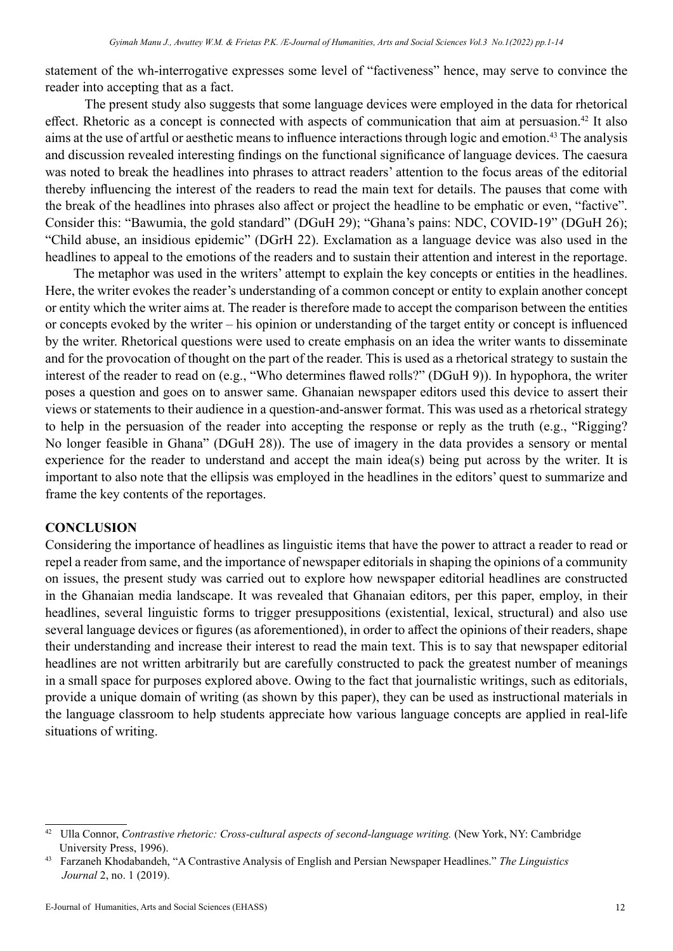statement of the wh-interrogative expresses some level of "factiveness" hence, may serve to convince the reader into accepting that as a fact.

 The present study also suggests that some language devices were employed in the data for rhetorical effect. Rhetoric as a concept is connected with aspects of communication that aim at persuasion.<sup>42</sup> It also aims at the use of artful or aesthetic means to influence interactions through logic and emotion.43 The analysis and discussion revealed interesting findings on the functional significance of language devices. The caesura was noted to break the headlines into phrases to attract readers' attention to the focus areas of the editorial thereby influencing the interest of the readers to read the main text for details. The pauses that come with the break of the headlines into phrases also affect or project the headline to be emphatic or even, "factive". Consider this: "Bawumia, the gold standard" (DGuH 29); "Ghana's pains: NDC, COVID-19" (DGuH 26); "Child abuse, an insidious epidemic" (DGrH 22). Exclamation as a language device was also used in the headlines to appeal to the emotions of the readers and to sustain their attention and interest in the reportage.

 The metaphor was used in the writers' attempt to explain the key concepts or entities in the headlines. Here, the writer evokes the reader's understanding of a common concept or entity to explain another concept or entity which the writer aims at. The reader is therefore made to accept the comparison between the entities or concepts evoked by the writer – his opinion or understanding of the target entity or concept is influenced by the writer. Rhetorical questions were used to create emphasis on an idea the writer wants to disseminate and for the provocation of thought on the part of the reader. This is used as a rhetorical strategy to sustain the interest of the reader to read on (e.g., "Who determines flawed rolls?" (DGuH 9)). In hypophora, the writer poses a question and goes on to answer same. Ghanaian newspaper editors used this device to assert their views or statements to their audience in a question-and-answer format. This was used as a rhetorical strategy to help in the persuasion of the reader into accepting the response or reply as the truth (e.g., "Rigging? No longer feasible in Ghana" (DGuH 28)). The use of imagery in the data provides a sensory or mental experience for the reader to understand and accept the main idea(s) being put across by the writer. It is important to also note that the ellipsis was employed in the headlines in the editors' quest to summarize and frame the key contents of the reportages.

#### **CONCLUSION**

Considering the importance of headlines as linguistic items that have the power to attract a reader to read or repel a reader from same, and the importance of newspaper editorials in shaping the opinions of a community on issues, the present study was carried out to explore how newspaper editorial headlines are constructed in the Ghanaian media landscape. It was revealed that Ghanaian editors, per this paper, employ, in their headlines, several linguistic forms to trigger presuppositions (existential, lexical, structural) and also use several language devices or figures (as aforementioned), in order to affect the opinions of their readers, shape their understanding and increase their interest to read the main text. This is to say that newspaper editorial headlines are not written arbitrarily but are carefully constructed to pack the greatest number of meanings in a small space for purposes explored above. Owing to the fact that journalistic writings, such as editorials, provide a unique domain of writing (as shown by this paper), they can be used as instructional materials in the language classroom to help students appreciate how various language concepts are applied in real-life situations of writing.

<sup>42</sup> Ulla Connor, *Contrastive rhetoric: Cross-cultural aspects of second-language writing.* (New York, NY: Cambridge University Press, 1996).

<sup>43</sup> Farzaneh Khodabandeh, "A Contrastive Analysis of English and Persian Newspaper Headlines." *The Linguistics Journal* 2, no. 1 (2019).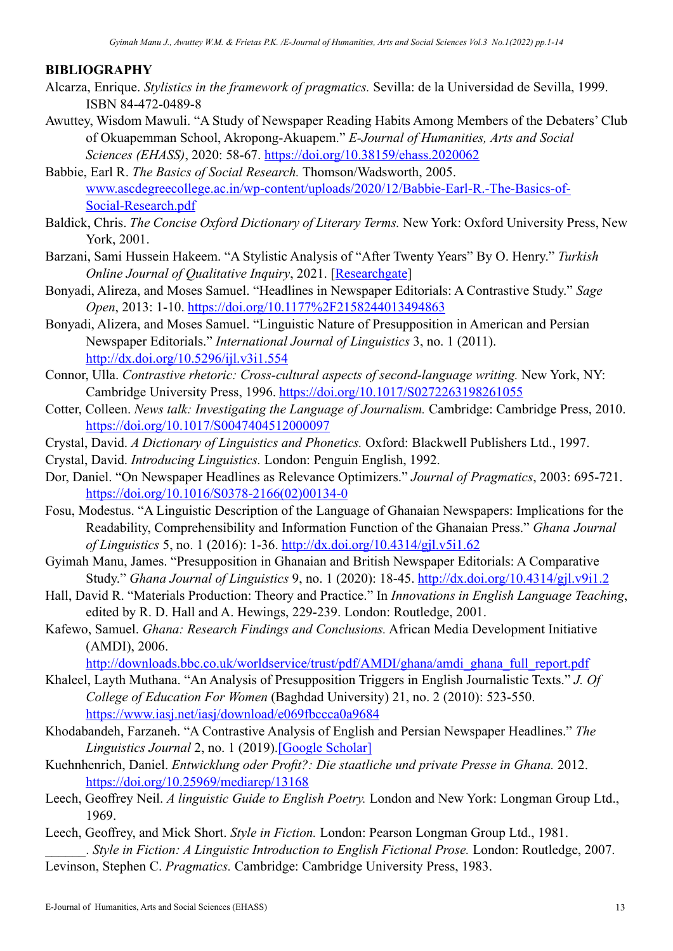#### **BIBLIOGRAPHY**

- Alcarza, Enrique. *Stylistics in the framework of pragmatics.* Sevilla: de la Universidad de Sevilla, 1999. ISBN 84-472-0489-8
- Awuttey, Wisdom Mawuli. "A Study of Newspaper Reading Habits Among Members of the Debaters' Club of Okuapemman School, Akropong-Akuapem." *E-Journal of Humanities, Arts and Social Sciences (EHASS)*, 2020: 58-67. <https://doi.org/10.38159/ehass.2020062>
- Babbie, Earl R. *The Basics of Social Research.* Thomson/Wadsworth, 2005. [www.ascdegreecollege.ac.in/wp-content/uploads/2020/12/Babbie-Earl-R.-The-Basics-of-](http://www.ascdegreecollege.ac.in/wp-content/uploads/2020/12/Babbie-Earl-R.-The-Basics-of-Social-Research.pdf)[Social-Research.pdf](http://www.ascdegreecollege.ac.in/wp-content/uploads/2020/12/Babbie-Earl-R.-The-Basics-of-Social-Research.pdf)
- Baldick, Chris. *The Concise Oxford Dictionary of Literary Terms.* New York: Oxford University Press, New York, 2001.
- Barzani, Sami Hussein Hakeem. "A Stylistic Analysis of "After Twenty Years" By O. Henry." *Turkish Online Journal of Qualitative Inquiry*, 2021. [[Researchgate\]](https://www.researchgate.net/profile/Sami-Barzani/publication/354464363_A_Stylistic_Analysis_of_After_Twenty_Years_by_O_Henry/links/6139f0820397f5523b1277b1/A-Stylistic-Analysis-of-After-Twenty-Years-by-O-Henry.pdf)
- Bonyadi, Alireza, and Moses Samuel. "Headlines in Newspaper Editorials: A Contrastive Study." *Sage Open*, 2013: 1-10. <https://doi.org/10.1177%2F2158244013494863>
- Bonyadi, Alizera, and Moses Samuel. "Linguistic Nature of Presupposition in American and Persian Newspaper Editorials." *International Journal of Linguistics* 3, no. 1 (2011). <http://dx.doi.org/10.5296/ijl.v3i1.554>
- Connor, Ulla. *Contrastive rhetoric: Cross-cultural aspects of second-language writing.* New York, NY: Cambridge University Press, 1996. <https://doi.org/10.1017/S0272263198261055>
- Cotter, Colleen. *News talk: Investigating the Language of Journalism.* Cambridge: Cambridge Press, 2010. <https://doi.org/10.1017/S0047404512000097>
- Crystal, David. *A Dictionary of Linguistics and Phonetics.* Oxford: Blackwell Publishers Ltd., 1997.
- Crystal, David. *Introducing Linguistics.* London: Penguin English, 1992.
- Dor, Daniel. "On Newspaper Headlines as Relevance Optimizers." *Journal of Pragmatics*, 2003: 695-721. [https://doi.org/10.1016/S0378-2166\(02\)00134-0](https://doi.org/10.1016/S0378-2166(02)00134-0)
- Fosu, Modestus. "A Linguistic Description of the Language of Ghanaian Newspapers: Implications for the Readability, Comprehensibility and Information Function of the Ghanaian Press." *Ghana Journal of Linguistics* 5, no. 1 (2016): 1-36.<http://dx.doi.org/10.4314/gjl.v5i1.62>
- Gyimah Manu, James. "Presupposition in Ghanaian and British Newspaper Editorials: A Comparative Study." *Ghana Journal of Linguistics* 9, no. 1 (2020): 18-45. <http://dx.doi.org/10.4314/gjl.v9i1.2>
- Hall, David R. "Materials Production: Theory and Practice." In *Innovations in English Language Teaching*, edited by R. D. Hall and A. Hewings, 229-239. London: Routledge, 2001.
- Kafewo, Samuel. *Ghana: Research Findings and Conclusions.* African Media Development Initiative (AMDI), 2006.

[http://downloads.bbc.co.uk/worldservice/trust/pdf/AMDI/ghana/amdi\\_ghana\\_full\\_report.pdf](http://downloads.bbc.co.uk/worldservice/trust/pdf/AMDI/ghana/amdi_ghana_full_report.pdf)

- Khaleel, Layth Muthana. "An Analysis of Presupposition Triggers in English Journalistic Texts." *J. Of College of Education For Women* (Baghdad University) 21, no. 2 (2010): 523-550. <https://www.iasj.net/iasj/download/e069fbccca0a9684>
- Khodabandeh, Farzaneh. "A Contrastive Analysis of English and Persian Newspaper Headlines." *The Linguistics Journal* 2, no. 1 (2019).[\[Google Scholar\]](https://scholar.google.com/citations?view_op=view_citation&hl=en&user=81wDvi8AAAAJ&citation_for_view=81wDvi8AAAAJ:u-x6o8ySG0sC)
- Kuehnhenrich, Daniel. *Entwicklung oder Profit?: Die staatliche und private Presse in Ghana.* 2012. <https://doi.org/10.25969/mediarep/13168>
- Leech, Geoffrey Neil. *A linguistic Guide to English Poetry.* London and New York: Longman Group Ltd., 1969.
- Leech, Geoffrey, and Mick Short. *Style in Fiction.* London: Pearson Longman Group Ltd., 1981. \_\_\_\_\_\_. *Style in Fiction: A Linguistic Introduction to English Fictional Prose.* London: Routledge, 2007.
- Levinson, Stephen C. *Pragmatics.* Cambridge: Cambridge University Press, 1983.